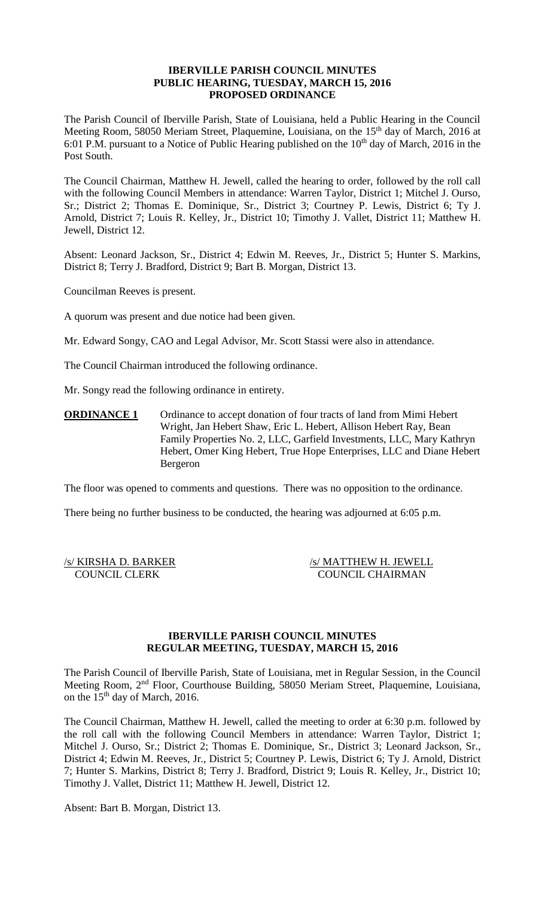## **IBERVILLE PARISH COUNCIL MINUTES PUBLIC HEARING, TUESDAY, MARCH 15, 2016 PROPOSED ORDINANCE**

The Parish Council of Iberville Parish, State of Louisiana, held a Public Hearing in the Council Meeting Room, 58050 Meriam Street, Plaquemine, Louisiana, on the 15<sup>th</sup> day of March, 2016 at 6:01 P.M. pursuant to a Notice of Public Hearing published on the  $10<sup>th</sup>$  day of March, 2016 in the Post South.

The Council Chairman, Matthew H. Jewell, called the hearing to order, followed by the roll call with the following Council Members in attendance: Warren Taylor, District 1; Mitchel J. Ourso, Sr.; District 2; Thomas E. Dominique, Sr., District 3; Courtney P. Lewis, District 6; Ty J. Arnold, District 7; Louis R. Kelley, Jr., District 10; Timothy J. Vallet, District 11; Matthew H. Jewell, District 12.

Absent: Leonard Jackson, Sr., District 4; Edwin M. Reeves, Jr., District 5; Hunter S. Markins, District 8; Terry J. Bradford, District 9; Bart B. Morgan, District 13.

Councilman Reeves is present.

A quorum was present and due notice had been given.

Mr. Edward Songy, CAO and Legal Advisor, Mr. Scott Stassi were also in attendance.

The Council Chairman introduced the following ordinance.

Mr. Songy read the following ordinance in entirety.

**ORDINANCE 1** Ordinance to accept donation of four tracts of land from Mimi Hebert Wright, Jan Hebert Shaw, Eric L. Hebert, Allison Hebert Ray, Bean Family Properties No. 2, LLC, Garfield Investments, LLC, Mary Kathryn Hebert, Omer King Hebert, True Hope Enterprises, LLC and Diane Hebert Bergeron

The floor was opened to comments and questions. There was no opposition to the ordinance.

There being no further business to be conducted, the hearing was adjourned at 6:05 p.m.

/s/ KIRSHA D. BARKER /s/ MATTHEW H. JEWELL COUNCIL CLERK COUNCIL CHAIRMAN

### **IBERVILLE PARISH COUNCIL MINUTES REGULAR MEETING, TUESDAY, MARCH 15, 2016**

The Parish Council of Iberville Parish, State of Louisiana, met in Regular Session, in the Council Meeting Room, 2nd Floor, Courthouse Building, 58050 Meriam Street, Plaquemine, Louisiana, on the 15<sup>th</sup> day of March, 2016.

The Council Chairman, Matthew H. Jewell, called the meeting to order at 6:30 p.m. followed by the roll call with the following Council Members in attendance: Warren Taylor, District 1; Mitchel J. Ourso, Sr.; District 2; Thomas E. Dominique, Sr., District 3; Leonard Jackson, Sr., District 4; Edwin M. Reeves, Jr., District 5; Courtney P. Lewis, District 6; Ty J. Arnold, District 7; Hunter S. Markins, District 8; Terry J. Bradford, District 9; Louis R. Kelley, Jr., District 10; Timothy J. Vallet, District 11; Matthew H. Jewell, District 12.

Absent: Bart B. Morgan, District 13.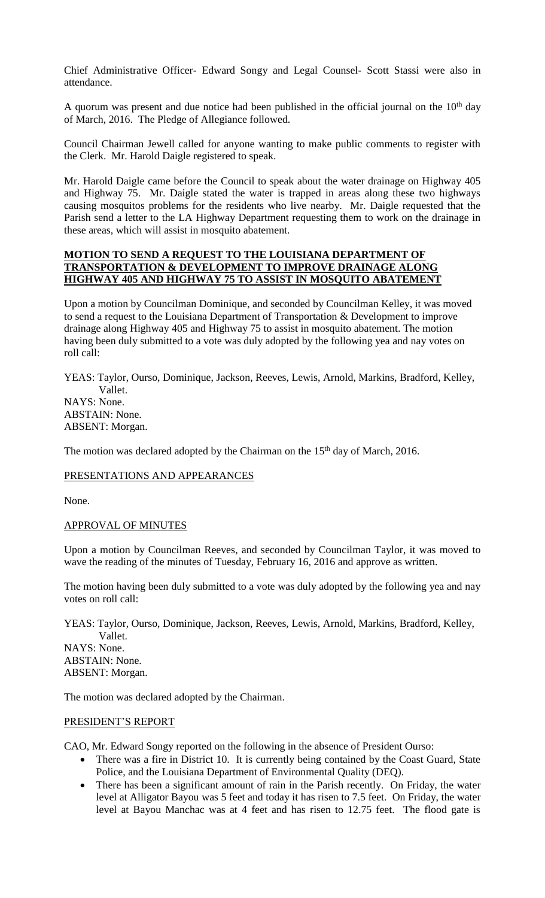Chief Administrative Officer- Edward Songy and Legal Counsel- Scott Stassi were also in attendance.

A quorum was present and due notice had been published in the official journal on the  $10<sup>th</sup>$  day of March, 2016. The Pledge of Allegiance followed.

Council Chairman Jewell called for anyone wanting to make public comments to register with the Clerk. Mr. Harold Daigle registered to speak.

Mr. Harold Daigle came before the Council to speak about the water drainage on Highway 405 and Highway 75. Mr. Daigle stated the water is trapped in areas along these two highways causing mosquitos problems for the residents who live nearby. Mr. Daigle requested that the Parish send a letter to the LA Highway Department requesting them to work on the drainage in these areas, which will assist in mosquito abatement.

# **MOTION TO SEND A REQUEST TO THE LOUISIANA DEPARTMENT OF TRANSPORTATION & DEVELOPMENT TO IMPROVE DRAINAGE ALONG HIGHWAY 405 AND HIGHWAY 75 TO ASSIST IN MOSQUITO ABATEMENT**

Upon a motion by Councilman Dominique, and seconded by Councilman Kelley, it was moved to send a request to the Louisiana Department of Transportation & Development to improve drainage along Highway 405 and Highway 75 to assist in mosquito abatement. The motion having been duly submitted to a vote was duly adopted by the following yea and nay votes on roll call:

YEAS: Taylor, Ourso, Dominique, Jackson, Reeves, Lewis, Arnold, Markins, Bradford, Kelley, Vallet. NAYS: None. ABSTAIN: None. ABSENT: Morgan.

The motion was declared adopted by the Chairman on the 15<sup>th</sup> day of March, 2016.

# PRESENTATIONS AND APPEARANCES

None.

# APPROVAL OF MINUTES

Upon a motion by Councilman Reeves, and seconded by Councilman Taylor, it was moved to wave the reading of the minutes of Tuesday, February 16, 2016 and approve as written.

The motion having been duly submitted to a vote was duly adopted by the following yea and nay votes on roll call:

YEAS: Taylor, Ourso, Dominique, Jackson, Reeves, Lewis, Arnold, Markins, Bradford, Kelley, Vallet. NAYS: None. ABSTAIN: None. ABSENT: Morgan.

The motion was declared adopted by the Chairman.

# PRESIDENT'S REPORT

CAO, Mr. Edward Songy reported on the following in the absence of President Ourso:

- There was a fire in District 10. It is currently being contained by the Coast Guard, State Police, and the Louisiana Department of Environmental Quality (DEQ).
- There has been a significant amount of rain in the Parish recently. On Friday, the water level at Alligator Bayou was 5 feet and today it has risen to 7.5 feet. On Friday, the water level at Bayou Manchac was at 4 feet and has risen to 12.75 feet. The flood gate is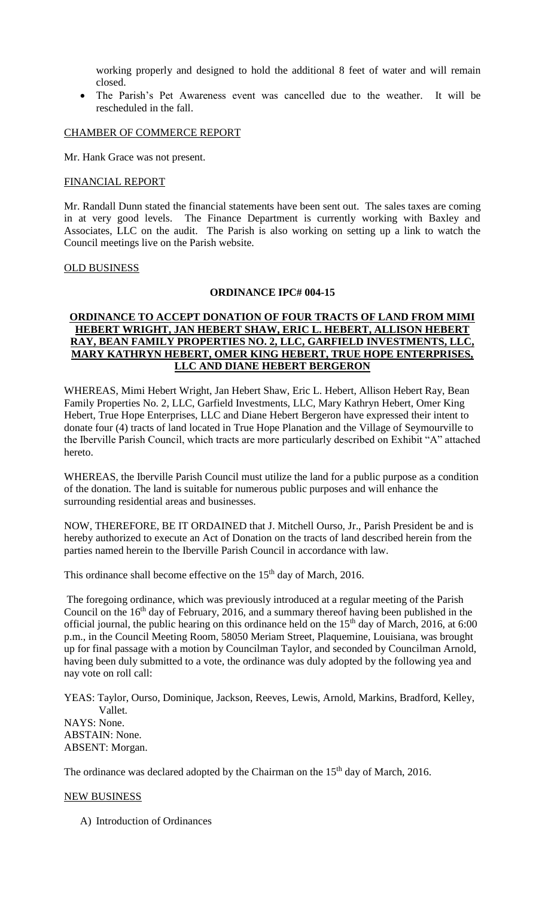working properly and designed to hold the additional 8 feet of water and will remain closed.

 The Parish's Pet Awareness event was cancelled due to the weather. It will be rescheduled in the fall.

### CHAMBER OF COMMERCE REPORT

Mr. Hank Grace was not present.

### FINANCIAL REPORT

Mr. Randall Dunn stated the financial statements have been sent out. The sales taxes are coming in at very good levels. The Finance Department is currently working with Baxley and Associates, LLC on the audit. The Parish is also working on setting up a link to watch the Council meetings live on the Parish website.

#### OLD BUSINESS

#### **ORDINANCE IPC# 004-15**

# **ORDINANCE TO ACCEPT DONATION OF FOUR TRACTS OF LAND FROM MIMI HEBERT WRIGHT, JAN HEBERT SHAW, ERIC L. HEBERT, ALLISON HEBERT RAY, BEAN FAMILY PROPERTIES NO. 2, LLC, GARFIELD INVESTMENTS, LLC, MARY KATHRYN HEBERT, OMER KING HEBERT, TRUE HOPE ENTERPRISES, LLC AND DIANE HEBERT BERGERON**

WHEREAS, Mimi Hebert Wright, Jan Hebert Shaw, Eric L. Hebert, Allison Hebert Ray, Bean Family Properties No. 2, LLC, Garfield Investments, LLC, Mary Kathryn Hebert, Omer King Hebert, True Hope Enterprises, LLC and Diane Hebert Bergeron have expressed their intent to donate four (4) tracts of land located in True Hope Planation and the Village of Seymourville to the Iberville Parish Council, which tracts are more particularly described on Exhibit "A" attached hereto.

WHEREAS, the Iberville Parish Council must utilize the land for a public purpose as a condition of the donation. The land is suitable for numerous public purposes and will enhance the surrounding residential areas and businesses.

NOW, THEREFORE, BE IT ORDAINED that J. Mitchell Ourso, Jr., Parish President be and is hereby authorized to execute an Act of Donation on the tracts of land described herein from the parties named herein to the Iberville Parish Council in accordance with law.

This ordinance shall become effective on the 15<sup>th</sup> day of March, 2016.

The foregoing ordinance, which was previously introduced at a regular meeting of the Parish Council on the 16<sup>th</sup> day of February, 2016, and a summary thereof having been published in the official journal, the public hearing on this ordinance held on the 15<sup>th</sup> day of March, 2016, at 6:00 p.m., in the Council Meeting Room, 58050 Meriam Street, Plaquemine, Louisiana, was brought up for final passage with a motion by Councilman Taylor, and seconded by Councilman Arnold, having been duly submitted to a vote, the ordinance was duly adopted by the following yea and nay vote on roll call:

YEAS: Taylor, Ourso, Dominique, Jackson, Reeves, Lewis, Arnold, Markins, Bradford, Kelley, Vallet. NAYS: None. ABSTAIN: None. ABSENT: Morgan.

The ordinance was declared adopted by the Chairman on the 15<sup>th</sup> day of March, 2016.

### NEW BUSINESS

A) Introduction of Ordinances